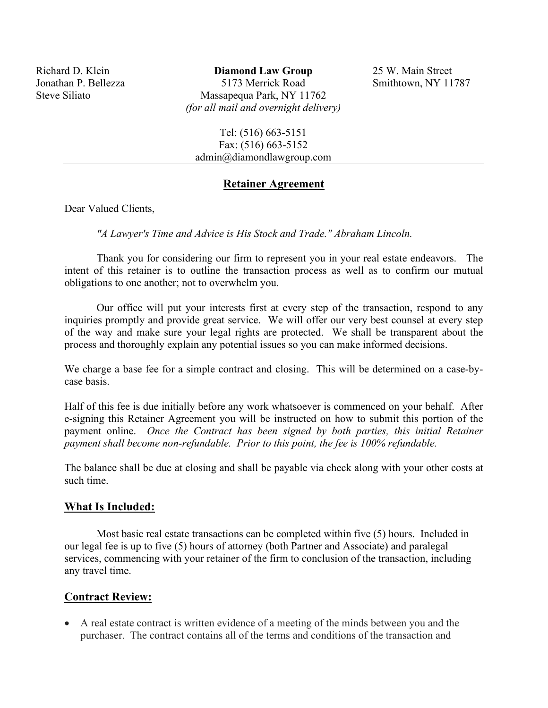Richard D. Klein Jonathan P. Bellezza Steve Siliato

**Diamond Law Group** 5173 Merrick Road Massapequa Park, NY 11762 *(for all mail and overnight delivery)*  25 W. Main Street Smithtown, NY 11787

Tel: (516) 663-5151 Fax: (516) 663-5152 admin@diamondlawgroup.com

### **Retainer Agreement**

Dear Valued Clients,

*"A Lawyer's Time and Advice is His Stock and Trade." Abraham Lincoln.* 

Thank you for considering our firm to represent you in your real estate endeavors. The intent of this retainer is to outline the transaction process as well as to confirm our mutual obligations to one another; not to overwhelm you.

Our office will put your interests first at every step of the transaction, respond to any inquiries promptly and provide great service. We will offer our very best counsel at every step of the way and make sure your legal rights are protected. We shall be transparent about the process and thoroughly explain any potential issues so you can make informed decisions.

We charge a base fee for a simple contract and closing. This will be determined on a case-bycase basis.

Half of this fee is due initially before any work whatsoever is commenced on your behalf. After e-signing this Retainer Agreement you will be instructed on how to submit this portion of the payment online. *Once the Contract has been signed by both parties, this initial Retainer payment shall become non-refundable. Prior to this point, the fee is 100% refundable.* 

The balance shall be due at closing and shall be payable via check along with your other costs at such time.

### **What Is Included:**

Most basic real estate transactions can be completed within five (5) hours. Included in our legal fee is up to five (5) hours of attorney (both Partner and Associate) and paralegal services, commencing with your retainer of the firm to conclusion of the transaction, including any travel time.

### **Contract Review:**

• A real estate contract is written evidence of a meeting of the minds between you and the purchaser. The contract contains all of the terms and conditions of the transaction and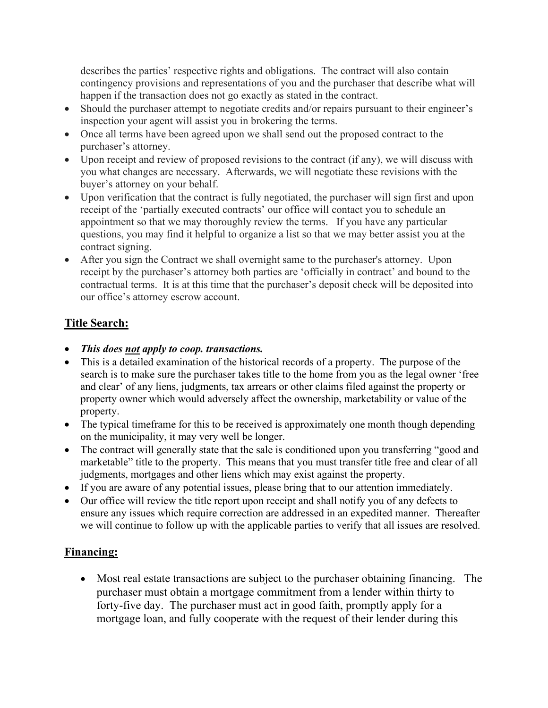describes the parties' respective rights and obligations. The contract will also contain contingency provisions and representations of you and the purchaser that describe what will happen if the transaction does not go exactly as stated in the contract.

- Should the purchaser attempt to negotiate credits and/or repairs pursuant to their engineer's inspection your agent will assist you in brokering the terms.
- Once all terms have been agreed upon we shall send out the proposed contract to the purchaser's attorney.
- Upon receipt and review of proposed revisions to the contract (if any), we will discuss with you what changes are necessary. Afterwards, we will negotiate these revisions with the buyer's attorney on your behalf.
- Upon verification that the contract is fully negotiated, the purchaser will sign first and upon receipt of the 'partially executed contracts' our office will contact you to schedule an appointment so that we may thoroughly review the terms. If you have any particular questions, you may find it helpful to organize a list so that we may better assist you at the contract signing.
- After you sign the Contract we shall overnight same to the purchaser's attorney. Upon receipt by the purchaser's attorney both parties are 'officially in contract' and bound to the contractual terms. It is at this time that the purchaser's deposit check will be deposited into our office's attorney escrow account.

# **Title Search:**

- *This does not apply to coop. transactions.*
- This is a detailed examination of the historical records of a property. The purpose of the search is to make sure the purchaser takes title to the home from you as the legal owner 'free and clear' of any liens, judgments, tax arrears or other claims filed against the property or property owner which would adversely affect the ownership, marketability or value of the property.
- The typical timeframe for this to be received is approximately one month though depending on the municipality, it may very well be longer.
- The contract will generally state that the sale is conditioned upon you transferring "good and marketable" title to the property. This means that you must transfer title free and clear of all judgments, mortgages and other liens which may exist against the property.
- If you are aware of any potential issues, please bring that to our attention immediately.
- Our office will review the title report upon receipt and shall notify you of any defects to ensure any issues which require correction are addressed in an expedited manner. Thereafter we will continue to follow up with the applicable parties to verify that all issues are resolved.

## **Financing:**

• Most real estate transactions are subject to the purchaser obtaining financing. The purchaser must obtain a mortgage commitment from a lender within thirty to forty-five day. The purchaser must act in good faith, promptly apply for a mortgage loan, and fully cooperate with the request of their lender during this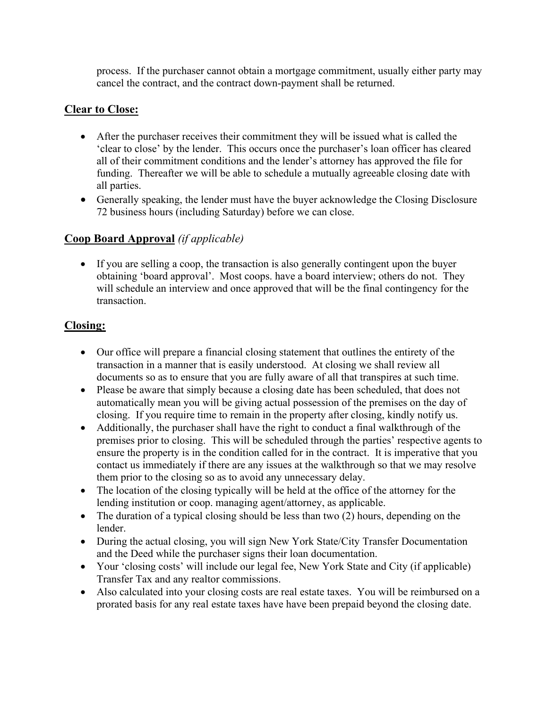process. If the purchaser cannot obtain a mortgage commitment, usually either party may cancel the contract, and the contract down-payment shall be returned.

## **Clear to Close:**

- After the purchaser receives their commitment they will be issued what is called the 'clear to close' by the lender. This occurs once the purchaser's loan officer has cleared all of their commitment conditions and the lender's attorney has approved the file for funding. Thereafter we will be able to schedule a mutually agreeable closing date with all parties.
- Generally speaking, the lender must have the buyer acknowledge the Closing Disclosure 72 business hours (including Saturday) before we can close.

## **Coop Board Approval** *(if applicable)*

• If you are selling a coop, the transaction is also generally contingent upon the buyer obtaining 'board approval'. Most coops. have a board interview; others do not. They will schedule an interview and once approved that will be the final contingency for the transaction.

## **Closing:**

- Our office will prepare a financial closing statement that outlines the entirety of the transaction in a manner that is easily understood. At closing we shall review all documents so as to ensure that you are fully aware of all that transpires at such time.
- Please be aware that simply because a closing date has been scheduled, that does not automatically mean you will be giving actual possession of the premises on the day of closing. If you require time to remain in the property after closing, kindly notify us.
- Additionally, the purchaser shall have the right to conduct a final walkthrough of the premises prior to closing. This will be scheduled through the parties' respective agents to ensure the property is in the condition called for in the contract. It is imperative that you contact us immediately if there are any issues at the walkthrough so that we may resolve them prior to the closing so as to avoid any unnecessary delay.
- The location of the closing typically will be held at the office of the attorney for the lending institution or coop. managing agent/attorney, as applicable.
- The duration of a typical closing should be less than two (2) hours, depending on the lender.
- During the actual closing, you will sign New York State/City Transfer Documentation and the Deed while the purchaser signs their loan documentation.
- Your 'closing costs' will include our legal fee, New York State and City (if applicable) Transfer Tax and any realtor commissions.
- Also calculated into your closing costs are real estate taxes. You will be reimbursed on a prorated basis for any real estate taxes have have been prepaid beyond the closing date.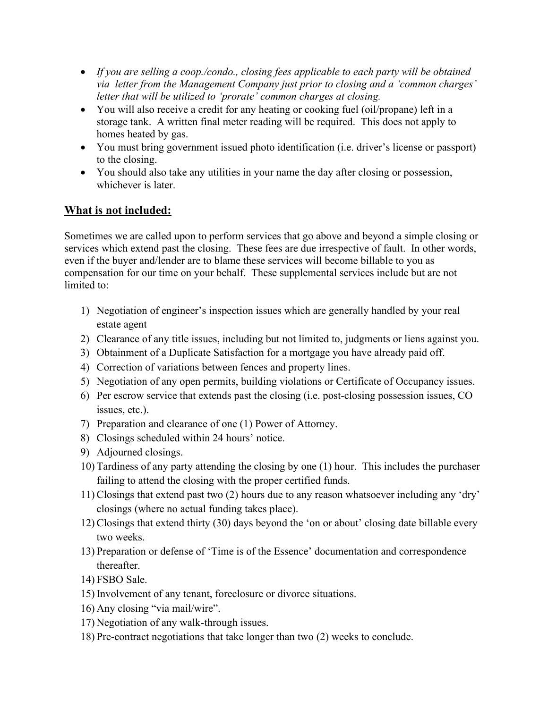- *If you are selling a coop./condo., closing fees applicable to each party will be obtained via letter from the Management Company just prior to closing and a 'common charges' letter that will be utilized to 'prorate' common charges at closing.*
- You will also receive a credit for any heating or cooking fuel (oil/propane) left in a storage tank. A written final meter reading will be required. This does not apply to homes heated by gas.
- You must bring government issued photo identification (i.e. driver's license or passport) to the closing.
- You should also take any utilities in your name the day after closing or possession, whichever is later.

## **What is not included:**

Sometimes we are called upon to perform services that go above and beyond a simple closing or services which extend past the closing. These fees are due irrespective of fault. In other words, even if the buyer and/lender are to blame these services will become billable to you as compensation for our time on your behalf. These supplemental services include but are not limited to:

- 1) Negotiation of engineer's inspection issues which are generally handled by your real estate agent
- 2) Clearance of any title issues, including but not limited to, judgments or liens against you.
- 3) Obtainment of a Duplicate Satisfaction for a mortgage you have already paid off.
- 4) Correction of variations between fences and property lines.
- 5) Negotiation of any open permits, building violations or Certificate of Occupancy issues.
- 6) Per escrow service that extends past the closing (i.e. post-closing possession issues, CO issues, etc.).
- 7) Preparation and clearance of one (1) Power of Attorney.
- 8) Closings scheduled within 24 hours' notice.
- 9) Adjourned closings.
- 10) Tardiness of any party attending the closing by one (1) hour. This includes the purchaser failing to attend the closing with the proper certified funds.
- 11) Closings that extend past two (2) hours due to any reason whatsoever including any 'dry' closings (where no actual funding takes place).
- 12) Closings that extend thirty (30) days beyond the 'on or about' closing date billable every two weeks.
- 13) Preparation or defense of 'Time is of the Essence' documentation and correspondence thereafter.
- 14) FSBO Sale.
- 15) Involvement of any tenant, foreclosure or divorce situations.
- 16) Any closing "via mail/wire".
- 17) Negotiation of any walk-through issues.
- 18) Pre-contract negotiations that take longer than two (2) weeks to conclude.